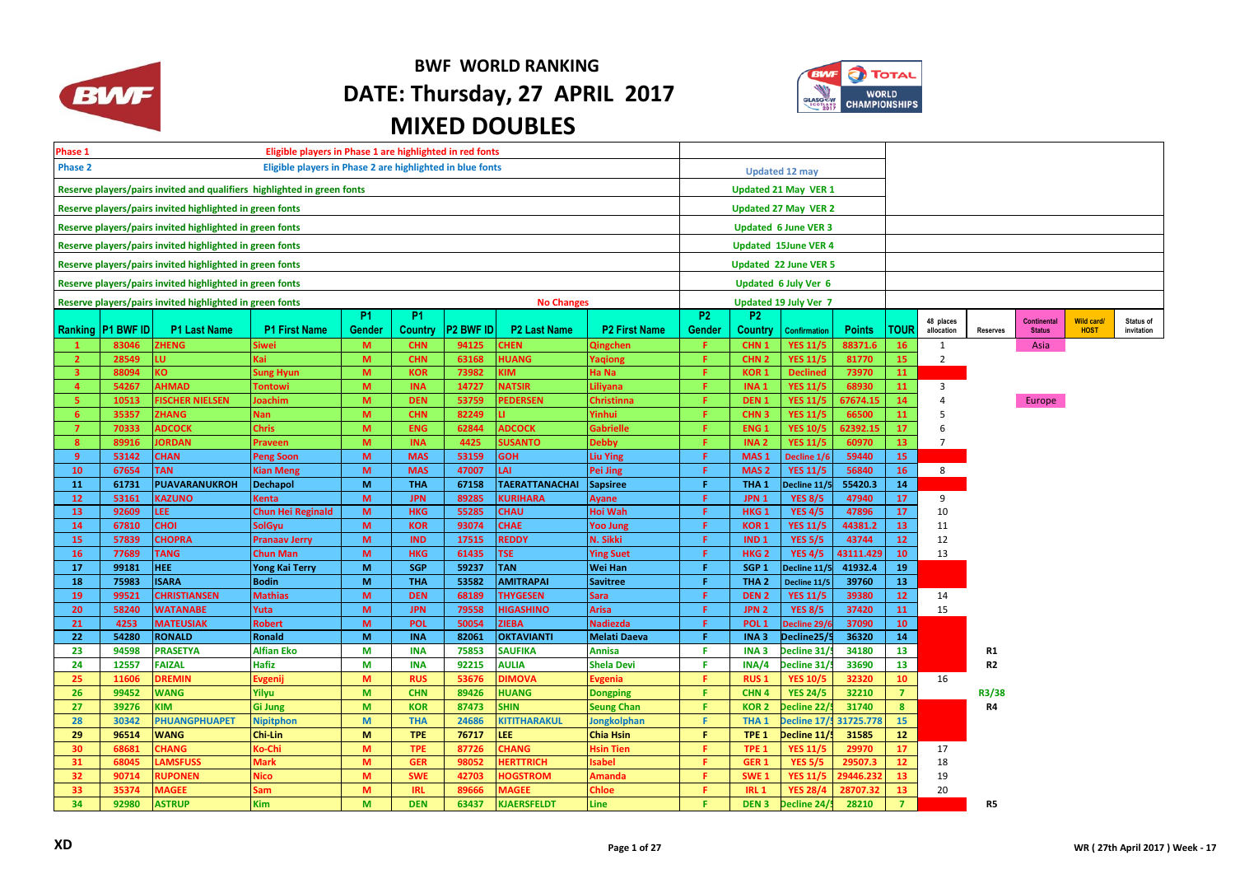

## **BWF WORLD RANKING DATE: Thursday, 27 APRIL 2017 MIXED DOUBLES**



| Eligible players in Phase 1 are highlighted in red fonts<br>Phase 1         |                     |                                                          |                                   |                |                          |                  |                                     |                         |                |                                      |                                   |                      |                 |                         |                 |                                     |                           |                                |
|-----------------------------------------------------------------------------|---------------------|----------------------------------------------------------|-----------------------------------|----------------|--------------------------|------------------|-------------------------------------|-------------------------|----------------|--------------------------------------|-----------------------------------|----------------------|-----------------|-------------------------|-----------------|-------------------------------------|---------------------------|--------------------------------|
| <b>Phase 2</b><br>Eligible players in Phase 2 are highlighted in blue fonts |                     |                                                          |                                   |                |                          |                  |                                     |                         |                |                                      | <b>Updated 12 may</b>             |                      |                 |                         |                 |                                     |                           |                                |
| Reserve players/pairs invited and qualifiers highlighted in green fonts     |                     |                                                          |                                   |                |                          |                  |                                     |                         |                |                                      | <b>Updated 21 May VER 1</b>       |                      |                 |                         |                 |                                     |                           |                                |
| Reserve players/pairs invited highlighted in green fonts                    |                     |                                                          |                                   |                |                          |                  |                                     |                         |                | Updated 27 May VER 2                 |                                   |                      |                 |                         |                 |                                     |                           |                                |
|                                                                             |                     | Reserve players/pairs invited highlighted in green fonts |                                   |                |                          |                  |                                     |                         |                |                                      | <b>Updated 6 June VER 3</b>       |                      |                 |                         |                 |                                     |                           |                                |
|                                                                             |                     | Reserve players/pairs invited highlighted in green fonts |                                   |                |                          |                  |                                     |                         |                |                                      | <b>Updated 15June VER 4</b>       |                      |                 |                         |                 |                                     |                           |                                |
|                                                                             |                     | Reserve players/pairs invited highlighted in green fonts |                                   |                |                          |                  |                                     |                         |                |                                      | Updated 22 June VER 5             |                      |                 |                         |                 |                                     |                           |                                |
|                                                                             |                     |                                                          |                                   |                |                          |                  |                                     |                         |                |                                      |                                   |                      |                 |                         |                 |                                     |                           |                                |
|                                                                             |                     | Reserve players/pairs invited highlighted in green fonts |                                   |                |                          |                  |                                     |                         |                |                                      | Updated 6 July Ver 6              |                      |                 |                         |                 |                                     |                           |                                |
|                                                                             |                     | Reserve players/pairs invited highlighted in green fonts |                                   | P <sub>1</sub> | P <sub>1</sub>           |                  | <b>No Changes</b>                   |                         | P <sub>2</sub> | <b>P2</b>                            | <b>Updated 19 July Ver 7</b>      |                      |                 |                         |                 |                                     |                           |                                |
|                                                                             | Ranking   P1 BWF ID | <b>P1 Last Name</b>                                      | <b>P1 First Name</b>              | Gender         | Country                  | <b>P2 BWF ID</b> | <b>P2 Last Name</b>                 | <b>P2 First Name</b>    | Gender         | <b>Country</b>                       | <b>Confirmation</b>               | <b>Points</b>        | TOUR            | 48 places<br>allocation | <b>Reserves</b> | <b>Continental</b><br><b>Status</b> | Wild card/<br><b>HOST</b> | <b>Status of</b><br>invitation |
| -1                                                                          | 83046               | ZHENG                                                    | iiwei                             | M              | <b>CHN</b>               | 94125            | CHEN                                | Qingchen                | F.             | CHN <sub>1</sub>                     | <b>YES 11/5</b>                   | 88371.6              | <b>16</b>       | 1                       |                 | Asia                                |                           |                                |
| $\overline{2}$                                                              | 28549               | IŪ.                                                      | <b>Kai</b>                        | M              | <b>CHN</b>               | 63168            | <b>HUANG</b>                        | Yaqiong                 | F.             | CHN <sub>2</sub>                     | <b>YES 11/5</b>                   | 81770                | 15              | $\overline{2}$          |                 |                                     |                           |                                |
| 3.                                                                          | 88094               | KO.                                                      | Sung Hyun                         | M              | <b>KOR</b>               | 73982            | IМ                                  | Ha Na                   | F.             | <b>KOR1</b>                          | <b>Declined</b>                   | 73970                | 11              |                         |                 |                                     |                           |                                |
| $\overline{4}$                                                              | 54267               | <b>AHMAD</b>                                             | Tontowi                           | M              | <b>INA</b>               | 14727            | <b>VATSIR</b>                       | .iliyana                | F.             | INA <sub>1</sub>                     | <b>YES 11/5</b>                   | 68930                | 11              | $\mathbf{3}$            |                 |                                     |                           |                                |
| 5.                                                                          | 10513               | <b>ISCHER NIELSEN</b>                                    | Joachim                           | M              | <b>DEN</b>               | 53759            | <b>PEDERSEN</b>                     | <b>Christinna</b>       | Æ.             | DEN <sub>1</sub>                     | <b>YES 11/5</b>                   | 67674.15             | 14              | $\overline{4}$          |                 | Europe                              |                           |                                |
| 6                                                                           | 35357               | <b>ZHANG</b>                                             | Nan.                              | M              | <b>CHN</b>               | 82249            | п.                                  | <b>Tinhui</b>           | Æ.             | CHN <sub>3</sub>                     | <b>YES 11/5</b>                   | 66500                | 11              | 5                       |                 |                                     |                           |                                |
| $\overline{7}$                                                              | 70333               | <b>ADCOCK</b>                                            | <b>Chris</b>                      | M              | <b>ENG</b>               | 62844            | <b>ADCOCK</b>                       | <b>Gabrielle</b>        | F.             | ENG <sub>1</sub>                     | <b>YES 10/5</b>                   | 62392.15             | 17              | 6                       |                 |                                     |                           |                                |
| 8 <sup>2</sup>                                                              | 89916               | <b>ORDAN</b>                                             | Praveen                           | M              | <b>INA</b>               | 4425             | <b>SUSANTO</b>                      | <b>Debby</b>            | F.             | INA <sub>2</sub>                     | <b>YES 11/5</b>                   | 60970                | 13              | $7^{\circ}$             |                 |                                     |                           |                                |
| 9 <sup>°</sup>                                                              | 53142               | <b>CHAN</b>                                              | <b>Peng Soon</b>                  | M              | <b>MAS</b>               | 53159            | <b>GOH</b>                          | Liu Ying                | F.             | MAS <sub>1</sub>                     | Decline 1/6                       | 59440                | 15              |                         |                 |                                     |                           |                                |
| 10                                                                          | 67654               | <b>TAN</b>                                               | <b>Kian Meng</b>                  | M              | <b>MAS</b>               | 47007            | LAI                                 | Pei Jing                | F.             | MAS <sub>2</sub>                     | <b>YES 11/5</b>                   | 56840                | <b>16</b>       | 8                       |                 |                                     |                           |                                |
| 11                                                                          | 61731               | <b>PUAVARANUKROH</b>                                     | <b>Dechapol</b>                   | M              | <b>THA</b>               | 67158            | <b>TAERATTANACHAI</b>               | Sapsiree                | F.<br>F.       | THA <sub>1</sub>                     | Decline 11/5                      | 55420.3              | 14              |                         |                 |                                     |                           |                                |
| 12 <sub>2</sub><br>13                                                       | 53161<br>92609      | <b>KAZUNO</b><br>LEE.                                    | Kenta<br><b>Chun Hei Reginald</b> | M<br>M         | <b>JPN</b><br><b>HKG</b> | 89285<br>55285   | <b>KURIHARA</b><br><b>CHAU</b>      | <b>Ayane</b><br>Hoi Wah | F.             | JPN <sub>1</sub><br>HKG <sub>1</sub> | <b>YES 8/5</b><br><b>YES 4/5</b>  | 47940<br>47896       | 17<br>17        | 9<br>10                 |                 |                                     |                           |                                |
| 14                                                                          | 67810               | <b>CHOI</b>                                              | SolGyu                            | M              | <b>KOR</b>               | 93074            | <b>CHAE</b>                         | Yoo Jung                | F              | KOR <sub>1</sub>                     | <b>YES 11/5</b>                   | 44381.2              | 13              | 11                      |                 |                                     |                           |                                |
| 15                                                                          | 57839               | <b>CHOPRA</b>                                            | <b>Pranaav Jerry</b>              | M              | <b>IND</b>               | 17515            | <b>REDDY</b>                        | N. Sikki                | F.             | IND <sub>1</sub>                     | <b>YES 5/5</b>                    | 43744                | 12              | 12                      |                 |                                     |                           |                                |
| 16                                                                          | 77689               | <b>TANG</b>                                              | <b>Chun Man</b>                   | M              | <b>HKG</b>               | 61435            | <b>TSE</b>                          | <b>Ying Suet</b>        | F.             | HKG <sub>2</sub>                     | <b>YES 4/5</b>                    | 43111.429            | 10              | 13                      |                 |                                     |                           |                                |
| 17                                                                          | 99181               | HEE.                                                     | <b>Yong Kai Terry</b>             | M              | <b>SGP</b>               | 59237            | <b>TAN</b>                          | Wei Han                 | F.             | SGP <sub>1</sub>                     | Decline 11/5                      | 41932.4              | 19              |                         |                 |                                     |                           |                                |
| 18                                                                          | 75983               | <b>ISARA</b>                                             | <b>Bodin</b>                      | M              | <b>THA</b>               | 53582            | <b>AMITRAPAI</b>                    | <b>Savitree</b>         | F.             | THA <sub>2</sub>                     | Decline 11/5                      | 39760                | 13              |                         |                 |                                     |                           |                                |
| 19                                                                          | 99521               | <b>CHRISTIANSEN</b>                                      | <b>Mathias</b>                    | M              | <b>DEN</b>               | 68189            | <b>THYGESEN</b>                     | Sara                    | F.             | DEN <sub>2</sub>                     | <b>YES 11/5</b>                   | 39380                | 12              | 14                      |                 |                                     |                           |                                |
| 20                                                                          | 58240               | <b>WATANABE</b>                                          | Yuta                              | M              | <b>JPN</b>               | 79558            | <b>HIGASHINO</b>                    | Arisa                   | F.             | JPN <sub>2</sub>                     | <b>YES 8/5</b>                    | 37420                | 11              | 15                      |                 |                                     |                           |                                |
| 21                                                                          | 4253                | <b>MATEUSIAK</b>                                         | <b>Robert</b>                     | M              | POL                      | 50054            | <b>ZIEBA</b>                        | <b>Nadiezda</b>         | F.             | POL <sub>1</sub>                     | Decline 29/                       | 37090                | 10              |                         |                 |                                     |                           |                                |
| 22                                                                          | 54280               | <b>RONALD</b>                                            | Ronald                            | M              | <b>INA</b>               | 82061            | <b>OKTAVIANTI</b>                   | Melati Daeva            | F.             | INA <sub>3</sub>                     | Decline25/5                       | 36320                | 14              |                         |                 |                                     |                           |                                |
| 23                                                                          | 94598               | <b>PRASETYA</b>                                          | <b>Alfian Eko</b>                 | M              | <b>INA</b>               | 75853            | <b>SAUFIKA</b>                      | Annisa                  | F.             | INA <sub>3</sub>                     | Decline 31/                       | 34180                | 13              |                         | R1              |                                     |                           |                                |
| 24                                                                          | 12557               | <b>FAIZAL</b>                                            | Hafiz                             | M              | <b>INA</b>               | 92215            | <b>AULIA</b>                        | Shela Devi              | F.             | INA/4                                | ecline 31/                        | 33690                | 13              |                         | R <sub>2</sub>  |                                     |                           |                                |
| 25                                                                          | 11606               | <b>DREMIN</b>                                            | Evgenij                           | M              | <b>RUS</b>               | 53676            | <b>DIMOVA</b>                       | vgenia:                 | F.             | <b>RUS1</b>                          | <b>YES 10/5</b>                   | 32320                | 10              | 16                      |                 |                                     |                           |                                |
| 26                                                                          | 99452               | <b>WANG</b>                                              | Yilyu                             | M              | <b>CHN</b>               | 89426            | <b>HUANG</b>                        | <b>Dongping</b>         | F.             | CHN <sub>4</sub>                     | <b>YES 24/5</b>                   | 32210                | $\overline{7}$  |                         | R3/38           |                                     |                           |                                |
| 27                                                                          | 39276               | KIM                                                      | <b>Gi Jung</b>                    | M              | <b>KOR</b>               | 87473            | <b>SHIN</b>                         | <b>Seung Chan</b>       | F.             | <b>KOR2</b>                          | Decline 22/                       | 31740                | 8 <sup>1</sup>  |                         | R4              |                                     |                           |                                |
| 28                                                                          | 30342               | <b>PHUANGPHUAPET</b>                                     | <b>Nipitphon</b>                  | M              | <b>THA</b>               | 24686            | <b>KITITHARAKUL</b>                 | <b>Jongkolphan</b>      | F.             | THA <sub>1</sub>                     | Decline 17/                       | 31725.778            | 15              |                         |                 |                                     |                           |                                |
| 29                                                                          | 96514               | <b>WANG</b>                                              | Chi-Lin                           | M              | <b>TPE</b>               | 76717            | LEE.                                | Chia Hsin               | F.             | TPE <sub>1</sub>                     | Decline 11/!                      | 31585                | 12 <sup>7</sup> |                         |                 |                                     |                           |                                |
| 30                                                                          | 68681               | CHANG                                                    | <b>Co-Chi</b>                     | M<br>M         | <b>TPE</b>               | 87726            | <b>CHANG</b>                        | <b>Hsin Tien</b>        | Æ.<br>F.       | TPE <sub>1</sub>                     | <b>YES 11/5</b>                   | 29970                | 17              | 17                      |                 |                                     |                           |                                |
| 31<br>32                                                                    | 68045<br>90714      | <b>LAMSFUSS</b><br><b>RUPONEN</b>                        | <b>Mark</b><br>Vico               | M              | <b>GER</b><br><b>SWE</b> | 98052<br>42703   | <b>HERTTRICH</b><br><b>HOGSTROM</b> | sabel                   | F.             | GER <sub>1</sub><br>SWE <sub>1</sub> | <b>YES 5/5</b><br><b>YES 11/5</b> | 29507.3<br>29446.232 | 12<br>13        | 18<br>19                |                 |                                     |                           |                                |
| 33                                                                          | 35374               | <b>MAGEE</b>                                             | sam                               | M              | <b>IRL</b>               | 89666            | <b>MAGEE</b>                        | Amanda<br>Chloe         | F.             | <b>IRL 1</b>                         | <b>YES 28/4</b>                   | 28707.32             | 13              | 20                      |                 |                                     |                           |                                |
| 34                                                                          | 92980               | <b>ASTRUP</b>                                            | Kim                               | M              | <b>DEN</b>               | 63437            | <b>KJAERSFELDT</b>                  | Line                    | F.             | DEN <sub>3</sub>                     | Decline 24/                       | 28210                | $\overline{7}$  |                         | R5              |                                     |                           |                                |
|                                                                             |                     |                                                          |                                   |                |                          |                  |                                     |                         |                |                                      |                                   |                      |                 |                         |                 |                                     |                           |                                |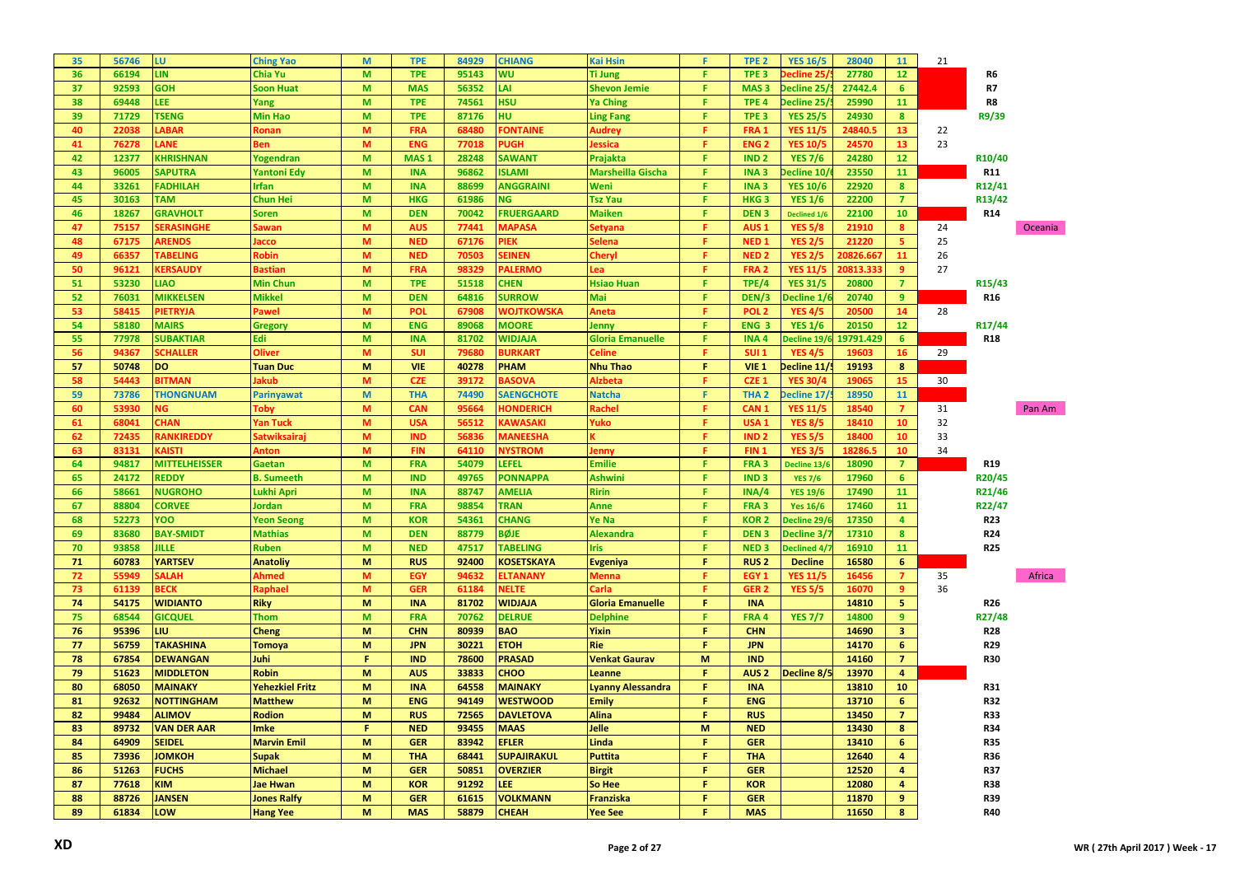| 35 | 56746 | LU                     | <b>Ching Yao</b>       | M            | <b>TPE</b>       | 84929 | <b>CHIANG</b>      | <b>Kai Hsin</b>          | F.           | TPE <sub>2</sub>       | <b>YES 16/5</b>     | 28040     | 11                      | 21 |                     |         |
|----|-------|------------------------|------------------------|--------------|------------------|-------|--------------------|--------------------------|--------------|------------------------|---------------------|-----------|-------------------------|----|---------------------|---------|
| 36 | 66194 | <b>LIN</b>             | Chia Yu                | M            | <b>TPE</b>       | 95143 | WU                 | <b>Ti Jung</b>           | F.           | TPE <sub>3</sub>       | ecline 25.          | 27780     | 12 <sup>2</sup>         |    | R6                  |         |
| 37 | 92593 | <b>GOH</b>             | <b>Soon Huat</b>       | M            | <b>MAS</b>       | 56352 | LAI                | <b>Shevon Jemie</b>      | F.           | MAS <sub>3</sub>       | Decline 25/         | 27442.4   | 6                       |    | R7                  |         |
| 38 | 69448 | LEE.                   | Yang                   | M            | <b>TPE</b>       | 74561 | <b>HSU</b>         | <b>Ya Ching</b>          | F.           | TPE <sub>4</sub>       | Decline 25          | 25990     | 11                      |    | R8                  |         |
| 39 | 71729 | <b>TSENG</b>           | <b>Min Hao</b>         | M            | <b>TPE</b>       | 87176 | HU                 | <b>Ling Fang</b>         | F.           | TPE <sub>3</sub>       | <b>YES 25/5</b>     | 24930     | 8 <sup>°</sup>          |    | R9/39               |         |
| 40 | 22038 | <b>ABAR</b>            | <b>Ronan</b>           | M            | <b>FRA</b>       | 68480 | <b>ONTAINE</b>     | Audrey                   | F.           | FRA <sub>1</sub>       | <b>YES 11/5</b>     | 24840.5   | 13 <sup>°</sup>         | 22 |                     |         |
| 41 | 76278 | ANE                    | Ben                    | M            | <b>ENG</b>       | 77018 | <b>PUGH</b>        | essica                   | F.           | <b>ENG<sub>2</sub></b> | <b>YES 10/5</b>     | 24570     | 13 <sup>°</sup>         | 23 |                     |         |
| 42 | 12377 | <b>KHRISHNAN</b>       | Yogendran              | M            | MAS <sub>1</sub> | 28248 | <b>SAWANT</b>      | Prajakta                 | F.           | IND <sub>2</sub>       | <b>YES 7/6</b>      | 24280     | 12                      |    | R <sub>10</sub> /40 |         |
| 43 | 96005 | <b>SAPUTRA</b>         | <b>Yantoni Edy</b>     | M            | <b>INA</b>       | 96862 | <b>ISLAMI</b>      | Marsheilla Gischa        | F.           | INA <sub>3</sub>       | ecline 10/          | 23550     | 11                      |    | <b>R11</b>          |         |
| 44 | 33261 | <b>FADHILAH</b>        | Irfan                  | M            | <b>INA</b>       | 88699 | <b>ANGGRAINI</b>   | Weni                     | F.           | <b>INA3</b>            | <b>YES 10/6</b>     | 22920     | $\boldsymbol{8}$        |    | R12/41              |         |
| 45 | 30163 | <b>TAM</b>             | Chun Hei               | M            | <b>HKG</b>       | 61986 | <b>NG</b>          | <b>Tsz Yau</b>           | F.           | HKG <sub>3</sub>       | <b>YES 1/6</b>      | 22200     | $\overline{7}$          |    | R13/42              |         |
| 46 | 18267 | <b>GRAVHOLT</b>        | Soren                  | M            | <b>DEN</b>       | 70042 | <b>FRUERGAARD</b>  | <b>Maiken</b>            | F.           | DEN <sub>3</sub>       | <b>Declined 1/6</b> | 22100     | 10                      |    | R <sub>14</sub>     |         |
| 47 | 75157 | <b>ERASINGHE</b>       | Sawan                  | M            | <b>AUS</b>       | 77441 | <b>MAPASA</b>      | ietyana                  | F.           | AUS <sub>1</sub>       | <b>YES 5/8</b>      | 21910     | $\boldsymbol{8}$        | 24 |                     | Oceania |
| 48 | 67175 | ARENDS                 | Jacco                  | M            | <b>NED</b>       | 67176 | PIEK               | ielena                   | F.           | NED <sub>1</sub>       | <b>YES 2/5</b>      | 21220     | 5                       | 25 |                     |         |
| 49 | 66357 | <b>TABELING</b>        | Robin                  | M            | <b>NED</b>       | 70503 | <b>SEINEN</b>      | heryl:                   | F.           | NED <sub>2</sub>       | <b>YES 2/5</b>      | 20826.667 | 11                      | 26 |                     |         |
| 50 | 96121 | <b><i>CERSAUDY</i></b> | <b>Bastian</b>         | M            | <b>FRA</b>       | 98329 | <b>PALERMO</b>     | .ea                      | F.           | FRA <sub>2</sub>       | <b>YES 11/5</b>     | 20813.333 | 9                       | 27 |                     |         |
| 51 | 53230 | <b>LIAO</b>            | <b>Min Chun</b>        | M            | <b>TPE</b>       | 51518 | <b>CHEN</b>        | <b>Hsiao Huan</b>        | $\mathsf F$  | TPE/4                  | <b>YES 31/5</b>     | 20800     | $\overline{7}$          |    | R <sub>15</sub> /43 |         |
| 52 | 76031 | <b>MIKKELSEN</b>       | <b>Mikkel</b>          | M            | <b>DEN</b>       | 64816 | <b>SURROW</b>      | Mai                      | F.           | DEN/3                  | Decline 1/          | 20740     | 9                       |    | <b>R16</b>          |         |
|    | 58415 |                        | Pawel                  | M            | <b>POL</b>       |       |                    |                          | F.           | POL <sub>2</sub>       |                     | 20500     | 14                      | 28 |                     |         |
| 53 |       | PIETRYJA               |                        |              |                  | 67908 | WOJTKOWSKA         | Aneta                    | F.           |                        | <b>YES 4/5</b>      |           |                         |    |                     |         |
| 54 | 58180 | <b>MAIRS</b>           | Gregory                | M            | <b>ENG</b>       | 89068 | <b>MOORE</b>       | Jenny                    |              | ENG <sub>3</sub>       | <b>YES 1/6</b>      | 20150     | 12                      |    | R17/44              |         |
| 55 | 77978 | <b>SUBAKTIAR</b>       | Edi                    | M            | <b>INA</b>       | 81702 | <b>WIDJAJA</b>     | <b>Gloria Emanuelle</b>  | F.           | <b>INA4</b>            | Decline 19/         | 19791.429 | 6                       |    | <b>R18</b>          |         |
| 56 | 94367 | <b>CHALLER</b>         | <b>Oliver</b>          | M            | <b>SUI</b>       | 79680 | <b>BURKART</b>     | celine.                  | F.           | <b>SUI 1</b>           | <b>YES 4/5</b>      | 19603     | 16                      | 29 |                     |         |
| 57 | 50748 | <b>DO</b>              | <b>Tuan Duc</b>        | M            | <b>VIE</b>       | 40278 | <b>PHAM</b>        | <b>Nhu Thao</b>          | F.           | <b>VIE 1</b>           | Decline 11/         | 19193     | 8                       |    |                     |         |
| 58 | 54443 | <b>BITMAN</b>          | Jakub                  | M            | <b>CZE</b>       | 39172 | <b>BASOVA</b>      | Alzbeta                  | F.           | CZE <sub>1</sub>       | <b>YES 30/4</b>     | 19065     | 15                      | 30 |                     |         |
| 59 | 73786 | <b>THONGNUAM</b>       | <b>Parinyawat</b>      | $\mathsf{M}$ | <b>THA</b>       | 74490 | <b>SAENGCHOTE</b>  | <b>Natcha</b>            | F.           | THA <sub>2</sub>       | Decline 17/         | 18950     | 11                      |    |                     |         |
| 60 | 53930 | ۷G                     | Toby                   | M            | <b>CAN</b>       | 95664 | <b>HONDERICH</b>   | <b>Rachel</b>            | F.           | CAN <sub>1</sub>       | <b>YES 11/5</b>     | 18540     | $\overline{7}$          | 31 |                     | Pan Am  |
| 61 | 68041 | <b>HAN</b>             | Yan Tuck               | M            | <b>USA</b>       | 56512 | <b>KAWASAKI</b>    | Yuko                     | F.           | USA <sub>1</sub>       | <b>YES 8/5</b>      | 18410     | 10                      | 32 |                     |         |
| 62 | 72435 | <b>RANKIREDDY</b>      | Satwiksairaj           | M            | <b>IND</b>       | 56836 | <b>MANEESHA</b>    |                          | F.           | <b>IND<sub>2</sub></b> | <b>YES 5/5</b>      | 18400     | 10                      | 33 |                     |         |
| 63 | 83131 | <b>AISTI</b>           | Anton                  | M            | <b>FIN</b>       | 64110 | <b>NYSTROM</b>     | lenny                    | F.           | FIN <sub>1</sub>       | <b>YES 3/5</b>      | 18286.5   | 10                      | 34 |                     |         |
| 64 | 94817 | <b>MITTELHEISSER</b>   | Gaetan                 | M            | <b>FRA</b>       | 54079 | LEFEL              | <b>Emilie</b>            | F.           | FRA <sub>3</sub>       | Decline 13/6        | 18090     | $\overline{7}$          |    | <b>R19</b>          |         |
| 65 | 24172 | <b>REDDY</b>           | <b>B.</b> Sumeeth      | M            | <b>IND</b>       | 49765 | <b>PONNAPPA</b>    | <b>Ashwini</b>           | F.           | IND <sub>3</sub>       | <b>YES 7/6</b>      | 17960     | 6                       |    | R20/45              |         |
| 66 | 58661 | <b>NUGROHO</b>         | Lukhi Apri             | M            | <b>INA</b>       | 88747 | <b>AMELIA</b>      | <b>Ririn</b>             | F.           | INA/4                  | <b>YES 19/6</b>     | 17490     | 11                      |    | R21/46              |         |
| 67 | 88804 | <b>CORVEE</b>          | <b>Jordan</b>          | M            | <b>FRA</b>       | 98854 | <b>TRAN</b>        | <b>Anne</b>              | F.           | FRA <sub>3</sub>       | <b>Yes 16/6</b>     | 17460     | 11                      |    | R22/47              |         |
| 68 | 52273 | YOO                    | <b>Yeon Seong</b>      | M            | <b>KOR</b>       | 54361 | <b>CHANG</b>       | Ye Na                    | F.           | <b>KOR2</b>            | Decline 29/         | 17350     | $\overline{4}$          |    | <b>R23</b>          |         |
| 69 | 83680 | <b>BAY-SMIDT</b>       | <b>Mathias</b>         | M            | <b>DEN</b>       | 88779 | <b>BØJE</b>        | <b>Alexandra</b>         | F.           | DEN <sub>3</sub>       | Decline 3/.         | 17310     | $\bf{8}$                |    | R <sub>24</sub>     |         |
| 70 | 93858 | <b>JILLE</b>           | <b>Ruben</b>           | M            | <b>NED</b>       | 47517 | <b>TABELING</b>    | Iris                     | F.           | NED <sub>3</sub>       | Declined 4/         | 16910     | 11                      |    | <b>R25</b>          |         |
| 71 | 60783 | <b>YARTSEV</b>         | <b>Anatoliy</b>        | M            | <b>RUS</b>       | 92400 | <b>KOSETSKAYA</b>  | <b>Evgeniya</b>          | $\mathbf{F}$ | <b>RUS2</b>            | <b>Decline</b>      | 16580     | 6                       |    |                     |         |
| 72 | 55949 | <b>ALAH</b>            | Ahmed                  | M            | EGY              | 94632 | <b>ELTANANY</b>    | Vlenna                   | F.           | EGY <sub>1</sub>       | <b>YES 11/5</b>     | 16456     | $\overline{7}$          | 35 |                     | Africa  |
| 73 | 61139 | <b>BECK</b>            | Raphael                | M            | <b>GER</b>       | 61184 | NELTE              | Carla:                   | F.           | GER <sub>2</sub>       | <b>YES 5/5</b>      | 16070     | 9                       | 36 |                     |         |
| 74 | 54175 | <b>WIDIANTO</b>        | <b>Riky</b>            | M            | <b>INA</b>       | 81702 | <b>WIDJAJA</b>     | <b>Gloria Emanuelle</b>  | F.           | <b>INA</b>             |                     | 14810     | 5 <sub>1</sub>          |    | R <sub>26</sub>     |         |
| 75 | 68544 | <b>GICQUEL</b>         | <b>Thom</b>            | M            | <b>FRA</b>       | 70762 | <b>DELRUE</b>      | <b>Delphine</b>          | F.           | FRA 4                  | <b>YES 7/7</b>      | 14800     | $\overline{9}$          |    | R27/48              |         |
| 76 | 95396 | LIU                    | Cheng                  | M            | <b>CHN</b>       | 80939 | <b>BAO</b>         | <b>Yixin</b>             | F.           | <b>CHN</b>             |                     | 14690     | 3 <sup>2</sup>          |    | <b>R28</b>          |         |
| 77 | 56759 | <b>TAKASHINA</b>       | <b>Tomoya</b>          | M            | <b>JPN</b>       | 30221 | <b>ETOH</b>        | Rie                      | F.           | <b>JPN</b>             |                     | 14170     | 6                       |    | R29                 |         |
| 78 | 67854 | <b>DEWANGAN</b>        | Juhi                   | F            | <b>IND</b>       | 78600 | <b>PRASAD</b>      | <b>Venkat Gaurav</b>     | M            | <b>IND</b>             |                     | 14160     | $\overline{7}$          |    | <b>R30</b>          |         |
| 79 | 51623 | <b>MIDDLETON</b>       | <b>Robin</b>           | M            | <b>AUS</b>       | 33833 | CHOO               | Leanne                   | F.           | AUS <sub>2</sub>       | Decline 8/5         | 13970     | $\overline{4}$          |    |                     |         |
| 80 | 68050 | <b>MAINAKY</b>         | <b>Yehezkiel Fritz</b> | M            | <b>INA</b>       | 64558 | <b>MAINAKY</b>     | <b>Lyanny Alessandra</b> | F.           | <b>INA</b>             |                     | 13810     | 10                      |    | <b>R31</b>          |         |
| 81 | 92632 | <b>NOTTINGHAM</b>      | <b>Matthew</b>         | M            | <b>ENG</b>       | 94149 | <b>WESTWOOD</b>    | Emily                    | F.           | <b>ENG</b>             |                     | 13710     | 6 <sup>1</sup>          |    | <b>R32</b>          |         |
| 82 | 99484 | <b>ALIMOV</b>          | <b>Rodion</b>          | M            | <b>RUS</b>       | 72565 | <b>DAVLETOVA</b>   | <b>Alina</b>             | F.           | <b>RUS</b>             |                     | 13450     | $\overline{7}$          |    | <b>R33</b>          |         |
| 83 | 89732 | <b>VAN DER AAR</b>     | <b>Imke</b>            | F.           | <b>NED</b>       | 93455 | <b>MAAS</b>        | Jelle                    | M            | <b>NED</b>             |                     | 13430     | 8                       |    | <b>R34</b>          |         |
| 84 | 64909 | <b>SEIDEL</b>          | <b>Marvin Emil</b>     | M            | <b>GER</b>       | 83942 | <b>EFLER</b>       | Linda                    | F.           | <b>GER</b>             |                     | 13410     | 6                       |    | <b>R35</b>          |         |
| 85 | 73936 | <b>JOMKOH</b>          | Supak                  | M            | <b>THA</b>       | 68441 | <b>SUPAJIRAKUL</b> | Puttita                  | F            | <b>THA</b>             |                     | 12640     | $\overline{4}$          |    | <b>R36</b>          |         |
| 86 | 51263 | <b>FUCHS</b>           | <b>Michael</b>         | M            | <b>GER</b>       | 50851 | <b>OVERZIER</b>    | <b>Birgit</b>            | F.           | <b>GER</b>             |                     | 12520     | $\overline{\mathbf{4}}$ |    | <b>R37</b>          |         |
| 87 | 77618 | KIM                    | <b>Jae Hwan</b>        | М            | <b>KOR</b>       | 91292 | LEE                | So Hee                   | F            | <b>KOR</b>             |                     | 12080     | 4                       |    | <b>R38</b>          |         |
| 88 | 88726 | <b>JANSEN</b>          | <b>Jones Ralfy</b>     | M            | <b>GER</b>       | 61615 | <b>VOLKMANN</b>    | Franziska                | F.           | <b>GER</b>             |                     | 11870     | 9                       |    | <b>R39</b>          |         |
| 89 | 61834 | LOW                    | <b>Hang Yee</b>        | M            | <b>MAS</b>       | 58879 | <b>CHEAH</b>       | <b>Yee See</b>           | F.           | <b>MAS</b>             |                     | 11650     | 8                       |    | R40                 |         |
|    |       |                        |                        |              |                  |       |                    |                          |              |                        |                     |           |                         |    |                     |         |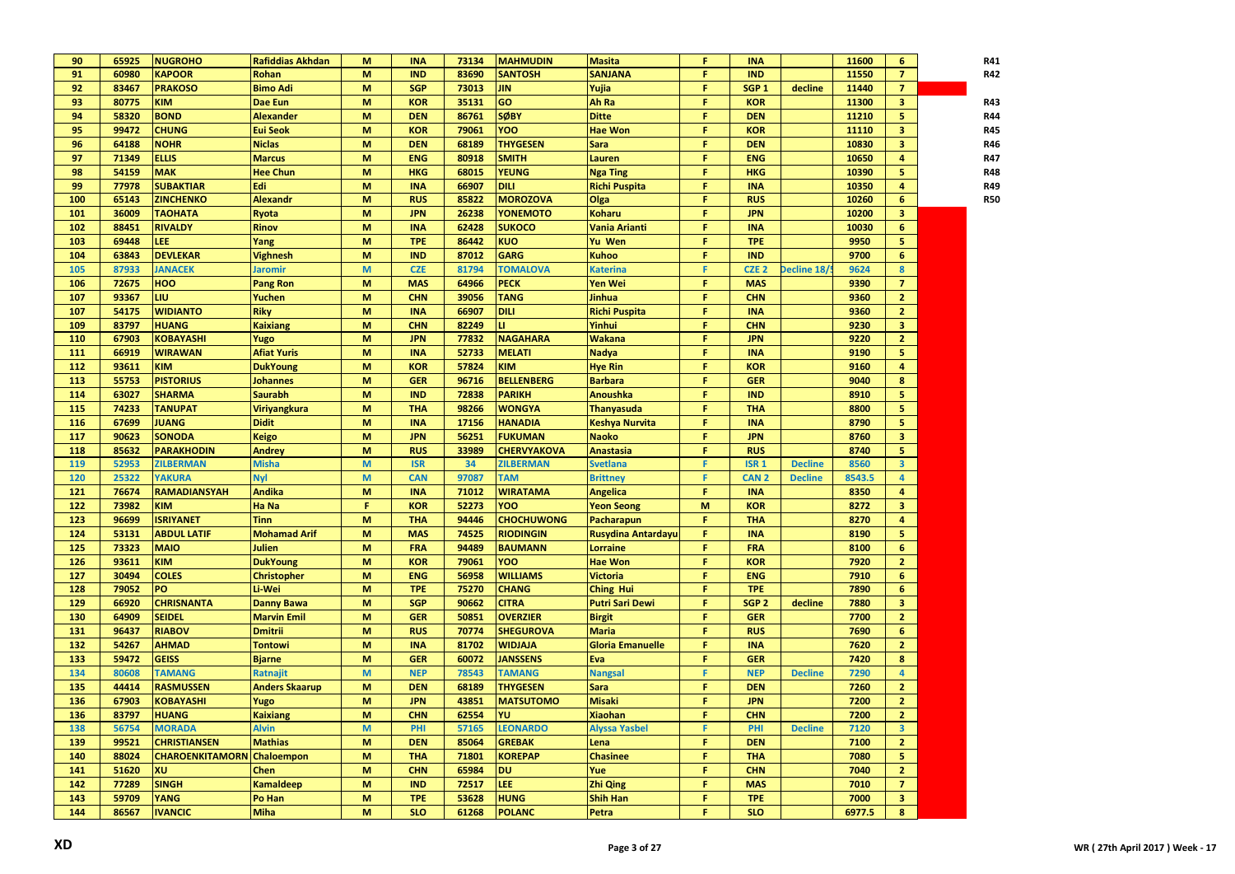| 90  | 65925 | <b>NUGROHO</b>                    | <b>Rafiddias Akhdan</b>    | M | <b>INA</b> | 73134 | <b>MAHMUDIN</b>    | <b>Masita</b>             | F | <b>INA</b>       |                | 11600  | 6              | R41        |
|-----|-------|-----------------------------------|----------------------------|---|------------|-------|--------------------|---------------------------|---|------------------|----------------|--------|----------------|------------|
| 91  | 60980 | <b>KAPOOR</b>                     | <b>Rohan</b>               | M | <b>IND</b> | 83690 | <b>SANTOSH</b>     | <b>SANJANA</b>            | F | <b>IND</b>       |                | 11550  | $\overline{7}$ | R42        |
| 92  | 83467 | <b>PRAKOSO</b>                    | <b>Bimo Adi</b>            | M | <b>SGP</b> | 73013 | <b>JIN</b>         | Yujia                     | F | SGP <sub>1</sub> | decline        | 11440  | $\overline{7}$ |            |
| 93  | 80775 | KIM                               | Dae Eun                    | M | <b>KOR</b> | 35131 | GO                 | <b>Ah Ra</b>              | F | <b>KOR</b>       |                | 11300  | 3 <sup>2</sup> | R43        |
| 94  | 58320 | <b>BOND</b>                       | <b>Alexander</b>           | M | <b>DEN</b> | 86761 | <b>SØBY</b>        | <b>Ditte</b>              | F | <b>DEN</b>       |                | 11210  | 5              | <b>R44</b> |
| 95  | 99472 | <b>CHUNG</b>                      | <b>Eui Seok</b>            | M | <b>KOR</b> | 79061 | YOO                | <b>Hae Won</b>            | F | <b>KOR</b>       |                | 11110  | 3              | R45        |
| 96  | 64188 | <b>NOHR</b>                       | <b>Niclas</b>              | M | <b>DEN</b> | 68189 | <b>THYGESEN</b>    | <b>Sara</b>               | F | <b>DEN</b>       |                | 10830  | 3              | R46        |
| 97  | 71349 | <b>ELLIS</b>                      | <b>Marcus</b>              | M | <b>ENG</b> | 80918 | <b>SMITH</b>       | Lauren                    | F | <b>ENG</b>       |                | 10650  | 4              | R47        |
| 98  | 54159 | <b>MAK</b>                        | <b>Hee Chun</b>            | M | <b>HKG</b> | 68015 | <b>YEUNG</b>       | <b>Nga Ting</b>           | F | <b>HKG</b>       |                | 10390  | 5              | R48        |
| 99  | 77978 | <b>SUBAKTIAR</b>                  | Edi                        | M | <b>INA</b> | 66907 | <b>DILI</b>        | <b>Richi Puspita</b>      | F | <b>INA</b>       |                | 10350  | 4              | R49        |
| 100 | 65143 | <b>ZINCHENKO</b>                  | <b>Alexandr</b>            | M | <b>RUS</b> | 85822 | <b>MOROZOVA</b>    | Olga                      | F | <b>RUS</b>       |                | 10260  | 6              | <b>R50</b> |
| 101 | 36009 | <b>TAOHATA</b>                    | Ryota                      | M | <b>JPN</b> | 26238 | <b>YONEMOTO</b>    | <b>Koharu</b>             | F | <b>JPN</b>       |                | 10200  | 3              |            |
| 102 | 88451 | <b>RIVALDY</b>                    | <b>Rinov</b>               | M | <b>INA</b> | 62428 | <b>SUKOCO</b>      | Vania Arianti             | F | <b>INA</b>       |                | 10030  | 6              |            |
| 103 | 69448 | LEE                               | Yang                       | M | <b>TPE</b> | 86442 | <b>KUO</b>         | Yu Wen                    | F | <b>TPE</b>       |                | 9950   | 5              |            |
| 104 | 63843 | <b>DEVLEKAR</b>                   | <b>Vighnesh</b>            | M | <b>IND</b> | 87012 | <b>GARG</b>        | <b>Kuhoo</b>              | F | <b>IND</b>       |                | 9700   | 6              |            |
| 105 | 87933 | <b>JANACEK</b>                    | Jaromir                    | M | <b>CZE</b> | 81794 | <b>TOMALOVA</b>    | <b>Katerina</b>           | F | CZE <sub>2</sub> | Decline 18/    | 9624   | 8              |            |
| 106 | 72675 | <b>HOO</b>                        | <b>Pang Ron</b>            | M | <b>MAS</b> | 64966 | <b>PECK</b>        | Yen Wei                   | F | <b>MAS</b>       |                | 9390   | $\mathbf{7}$   |            |
| 107 | 93367 | <b>LIU</b>                        | Yuchen                     | M | <b>CHN</b> | 39056 | <b>TANG</b>        | Jinhua                    | F | <b>CHN</b>       |                | 9360   | 2 <sup>1</sup> |            |
| 107 | 54175 | <b>WIDIANTO</b>                   | <b>Riky</b>                | M | <b>INA</b> | 66907 | <b>DILI</b>        | <b>Richi Puspita</b>      | F | <b>INA</b>       |                | 9360   | 2 <sup>2</sup> |            |
| 109 | 83797 | <b>HUANG</b>                      | <b>Kaixiang</b>            | M | <b>CHN</b> | 82249 | u                  | Yinhui                    | F | <b>CHN</b>       |                | 9230   | 3 <sup>2</sup> |            |
| 110 | 67903 | <b>KOBAYASHI</b>                  |                            | M | <b>JPN</b> | 77832 | <b>NAGAHARA</b>    | Wakana                    | F | <b>JPN</b>       |                | 9220   | 2 <sup>1</sup> |            |
| 111 | 66919 | <b>WIRAWAN</b>                    | Yugo<br><b>Afiat Yuris</b> | M | <b>INA</b> | 52733 | <b>MELATI</b>      | <b>Nadya</b>              | F | <b>INA</b>       |                | 9190   | 5 <sup>1</sup> |            |
| 112 | 93611 | KIM                               |                            | M | <b>KOR</b> | 57824 | <b>KIM</b>         |                           | F | <b>KOR</b>       |                | 9160   | $\overline{4}$ |            |
|     |       |                                   | <b>DukYoung</b>            |   |            |       |                    | <b>Hye Rin</b>            | F |                  |                |        |                |            |
| 113 | 55753 | <b>PISTORIUS</b>                  | <b>Johannes</b>            | M | <b>GER</b> | 96716 | <b>BELLENBERG</b>  | <b>Barbara</b>            |   | <b>GER</b>       |                | 9040   | 8              |            |
| 114 | 63027 | <b>SHARMA</b>                     | <b>Saurabh</b>             | M | <b>IND</b> | 72838 | <b>PARIKH</b>      | <b>Anoushka</b>           | F | <b>IND</b>       |                | 8910   | 5              |            |
| 115 | 74233 | <b>TANUPAT</b>                    | <b>Viriyangkura</b>        | M | <b>THA</b> | 98266 | <b>WONGYA</b>      | <b>Thanyasuda</b>         | F | <b>THA</b>       |                | 8800   | 5              |            |
| 116 | 67699 | <b>JUANG</b>                      | <b>Didit</b>               | M | <b>INA</b> | 17156 | <b>HANADIA</b>     | Keshya Nurvita            | F | <b>INA</b>       |                | 8790   | 5              |            |
| 117 | 90623 | <b>SONODA</b>                     | <b>Keigo</b>               | M | <b>JPN</b> | 56251 | <b>FUKUMAN</b>     | <b>Naoko</b>              | F | <b>JPN</b>       |                | 8760   | 3 <sup>2</sup> |            |
| 118 | 85632 | <b>PARAKHODIN</b>                 | <b>Andrey</b>              | M | <b>RUS</b> | 33989 | <b>CHERVYAKOVA</b> | <b>Anastasia</b>          | F | <b>RUS</b>       |                | 8740   | 5 <sub>1</sub> |            |
| 119 | 52953 | <b>ZILBERMAN</b>                  | <b>Misha</b>               | M | <b>ISR</b> | 34    | <b>ZILBERMAN</b>   | <b>Svetlana</b>           | F | <b>ISR 1</b>     | <b>Decline</b> | 8560   | 3 <sup>1</sup> |            |
| 120 | 25322 | <b>YAKURA</b>                     | <b>Nyl</b>                 | M | <b>CAN</b> | 97087 | <b>TAM</b>         | <b>Brittney</b>           | F | CAN <sub>2</sub> | <b>Decline</b> | 8543.5 | 4              |            |
| 121 | 76674 | <b>RAMADIANSYAH</b>               | <b>Andika</b>              | M | <b>INA</b> | 71012 | <b>WIRATAMA</b>    | <b>Angelica</b>           | F | <b>INA</b>       |                | 8350   | 4              |            |
| 122 | 73982 | <b>KIM</b>                        | Ha Na                      | F | <b>KOR</b> | 52273 | YOO                | <b>Yeon Seong</b>         | M | <b>KOR</b>       |                | 8272   | 3 <sup>7</sup> |            |
| 123 | 96699 | <b>ISRIYANET</b>                  | <b>Tinn</b>                | M | <b>THA</b> | 94446 | <b>CHOCHUWONG</b>  | Pacharapun                | F | <b>THA</b>       |                | 8270   | 4              |            |
| 124 | 53131 | <b>ABDUL LATIF</b>                | <b>Mohamad Arif</b>        | M | <b>MAS</b> | 74525 | <b>RIODINGIN</b>   | <b>Rusydina Antardayu</b> | F | <b>INA</b>       |                | 8190   | 5 <sub>1</sub> |            |
| 125 | 73323 | <b>MAIO</b>                       | Julien                     | M | <b>FRA</b> | 94489 | <b>BAUMANN</b>     | <b>Lorraine</b>           | F | <b>FRA</b>       |                | 8100   | 6              |            |
| 126 | 93611 | KIM                               | <b>DukYoung</b>            | M | <b>KOR</b> | 79061 | YOO                | <b>Hae Won</b>            | F | <b>KOR</b>       |                | 7920   | 2 <sup>1</sup> |            |
| 127 | 30494 | <b>COLES</b>                      | <b>Christopher</b>         | M | <b>ENG</b> | 56958 | <b>WILLIAMS</b>    | <b>Victoria</b>           | F | <b>ENG</b>       |                | 7910   | 6              |            |
| 128 | 79052 | PO                                | Li-Wei                     | M | <b>TPE</b> | 75270 | <b>CHANG</b>       | <b>Ching Hui</b>          | F | <b>TPE</b>       |                | 7890   | 6              |            |
| 129 | 66920 | <b>CHRISNANTA</b>                 | <b>Danny Bawa</b>          | M | <b>SGP</b> | 90662 | <b>CITRA</b>       | <b>Putri Sari Dewi</b>    | F | SGP <sub>2</sub> | decline        | 7880   | 3              |            |
| 130 | 64909 | <b>SEIDEL</b>                     | <b>Marvin Emil</b>         | M | <b>GER</b> | 50851 | <b>OVERZIER</b>    | <b>Birgit</b>             | F | <b>GER</b>       |                | 7700   | 2 <sup>1</sup> |            |
| 131 | 96437 | <b>RIABOV</b>                     | <b>Dmitrii</b>             | M | <b>RUS</b> | 70774 | <b>SHEGUROVA</b>   | <b>Maria</b>              | F | <b>RUS</b>       |                | 7690   | 6              |            |
| 132 | 54267 | <b>AHMAD</b>                      | Tontowi                    | M | <b>INA</b> | 81702 | <b>WIDJAJA</b>     | <b>Gloria Emanuelle</b>   | F | <b>INA</b>       |                | 7620   | 2 <sup>1</sup> |            |
| 133 | 59472 | <b>GEISS</b>                      | <b>Bjarne</b>              | M | <b>GER</b> | 60072 | <b>JANSSENS</b>    | Eva                       | F | <b>GER</b>       |                | 7420   | 8              |            |
| 134 | 80608 | <b>TAMANG</b>                     | Ratnajit                   | M | <b>NEP</b> | 78543 | <b>TAMANG</b>      | <b>Nangsal</b>            | F | <b>NEP</b>       | <b>Decline</b> | 7290   | $\overline{4}$ |            |
| 135 | 44414 | <b>RASMUSSEN</b>                  | <b>Anders Skaarup</b>      | M | <b>DEN</b> | 68189 | <b>THYGESEN</b>    | <b>Sara</b>               | F | <b>DEN</b>       |                | 7260   | 2 <sup>1</sup> |            |
| 136 | 67903 | <b>KOBAYASHI</b>                  | Yugo                       | M | <b>JPN</b> | 43851 | <b>MATSUTOMO</b>   | <b>Misaki</b>             | F | <b>JPN</b>       |                | 7200   | $\overline{2}$ |            |
| 136 | 83797 | <b>HUANG</b>                      | <b>Kaixiang</b>            | M | <b>CHN</b> | 62554 | YU                 | <b>Xiaohan</b>            | F | <b>CHN</b>       |                | 7200   | $\mathbf{2}$   |            |
| 138 | 56754 | <b>MORADA</b>                     | <b>Alvin</b>               | M | PHI        | 57165 | <b>LEONARDO</b>    | <b>Alyssa Yasbel</b>      | F | PHI              | <b>Decline</b> | 7120   | 3              |            |
| 139 | 99521 | <b>CHRISTIANSEN</b>               | <b>Mathias</b>             | M | <b>DEN</b> | 85064 | <b>GREBAK</b>      | Lena                      | F | <b>DEN</b>       |                | 7100   | $\overline{2}$ |            |
| 140 | 88024 | <b>CHAROENKITAMORN</b> Chaloempon |                            | M | <b>THA</b> | 71801 | <b>KOREPAP</b>     | <b>Chasinee</b>           | F | <b>THA</b>       |                | 7080   | 5.             |            |
| 141 | 51620 | XU                                | <b>Chen</b>                | M | <b>CHN</b> | 65984 | <b>DU</b>          | Yue                       | F | <b>CHN</b>       |                | 7040   | 2 <sub>1</sub> |            |
| 142 | 77289 | <b>SINGH</b>                      | <b>Kamaldeep</b>           | M | <b>IND</b> | 72517 | LEE.               | <b>Zhi Qing</b>           | F | <b>MAS</b>       |                | 7010   | $\overline{7}$ |            |
| 143 | 59709 | <b>YANG</b>                       | Po Han                     | M | <b>TPE</b> | 53628 | <b>HUNG</b>        | <b>Shih Han</b>           | F | <b>TPE</b>       |                | 7000   | 3 <sup>7</sup> |            |
| 144 | 86567 | <b>IVANCIC</b>                    | <b>Miha</b>                | M | <b>SLO</b> | 61268 | <b>POLANC</b>      | Petra                     | F | <b>SLO</b>       |                | 6977.5 | 8              |            |
|     |       |                                   |                            |   |            |       |                    |                           |   |                  |                |        |                |            |